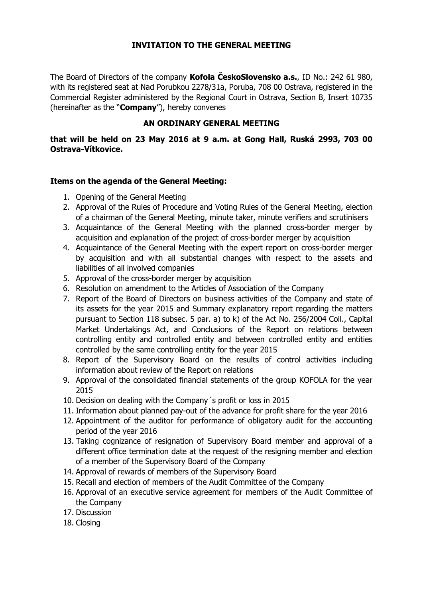## **INVITATION TO THE GENERAL MEETING**

The Board of Directors of the company **Kofola ČeskoSlovensko a.s.**, ID No.: 242 61 980, with its registered seat at Nad Porubkou 2278/31a, Poruba, 708 00 Ostrava, registered in the Commercial Register administered by the Regional Court in Ostrava, Section B, Insert 10735 (hereinafter as the "**Company**"), hereby convenes

## **AN ORDINARY GENERAL MEETING**

**that will be held on 23 May 2016 at 9 a.m. at Gong Hall, Ruská 2993, 703 00 Ostrava-Vítkovice.**

## **Items on the agenda of the General Meeting:**

- 1. Opening of the General Meeting
- 2. Approval of the Rules of Procedure and Voting Rules of the General Meeting, election of a chairman of the General Meeting, minute taker, minute verifiers and scrutinisers
- 3. Acquaintance of the General Meeting with the planned cross-border merger by acquisition and explanation of the project of cross-border merger by acquisition
- 4. Acquaintance of the General Meeting with the expert report on cross-border merger by acquisition and with all substantial changes with respect to the assets and liabilities of all involved companies
- 5. Approval of the cross-border merger by acquisition
- 6. Resolution on amendment to the Articles of Association of the Company
- 7. Report of the Board of Directors on business activities of the Company and state of its assets for the year 2015 and Summary explanatory report regarding the matters pursuant to Section 118 subsec. 5 par. a) to k) of the Act No. 256/2004 Coll., Capital Market Undertakings Act, and Conclusions of the Report on relations between controlling entity and controlled entity and between controlled entity and entities controlled by the same controlling entity for the year 2015
- 8. Report of the Supervisory Board on the results of control activities including information about review of the Report on relations
- 9. Approval of the consolidated financial statements of the group KOFOLA for the year 2015
- 10. Decision on dealing with the Company´s profit or loss in 2015
- 11. Information about planned pay-out of the advance for profit share for the year 2016
- 12. Appointment of the auditor for performance of obligatory audit for the accounting period of the year 2016
- 13. Taking cognizance of resignation of Supervisory Board member and approval of a different office termination date at the request of the resigning member and election of a member of the Supervisory Board of the Company
- 14. Approval of rewards of members of the Supervisory Board
- 15. Recall and election of members of the Audit Committee of the Company
- 16. Approval of an executive service agreement for members of the Audit Committee of the Company
- 17. Discussion
- 18. Closing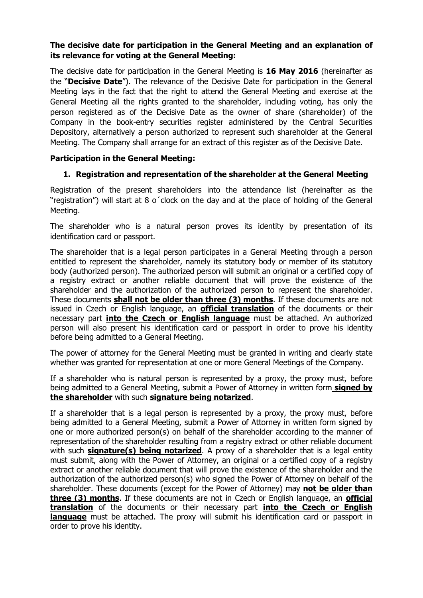## **The decisive date for participation in the General Meeting and an explanation of its relevance for voting at the General Meeting:**

The decisive date for participation in the General Meeting is **16 May 2016** (hereinafter as the "**Decisive Date**"). The relevance of the Decisive Date for participation in the General Meeting lays in the fact that the right to attend the General Meeting and exercise at the General Meeting all the rights granted to the shareholder, including voting, has only the person registered as of the Decisive Date as the owner of share (shareholder) of the Company in the book-entry securities register administered by the Central Securities Depository, alternatively a person authorized to represent such shareholder at the General Meeting. The Company shall arrange for an extract of this register as of the Decisive Date.

## **Participation in the General Meeting:**

### **1. Registration and representation of the shareholder at the General Meeting**

Registration of the present shareholders into the attendance list (hereinafter as the "registration") will start at 8 o´clock on the day and at the place of holding of the General Meeting.

The shareholder who is a natural person proves its identity by presentation of its identification card or passport.

The shareholder that is a legal person participates in a General Meeting through a person entitled to represent the shareholder, namely its statutory body or member of its statutory body (authorized person). The authorized person will submit an original or a certified copy of a registry extract or another reliable document that will prove the existence of the shareholder and the authorization of the authorized person to represent the shareholder. These documents **shall not be older than three (3) months**. If these documents are not issued in Czech or English language, an **official translation** of the documents or their necessary part **into the Czech or English language** must be attached. An authorized person will also present his identification card or passport in order to prove his identity before being admitted to a General Meeting.

The power of attorney for the General Meeting must be granted in writing and clearly state whether was granted for representation at one or more General Meetings of the Company.

If a shareholder who is natural person is represented by a proxy, the proxy must, before being admitted to a General Meeting, submit a Power of Attorney in written form **signed by the shareholder** with such **signature being notarized**.

If a shareholder that is a legal person is represented by a proxy, the proxy must, before being admitted to a General Meeting, submit a Power of Attorney in written form signed by one or more authorized person(s) on behalf of the shareholder according to the manner of representation of the shareholder resulting from a registry extract or other reliable document with such **signature(s) being notarized**. A proxy of a shareholder that is a legal entity must submit, along with the Power of Attorney, an original or a certified copy of a registry extract or another reliable document that will prove the existence of the shareholder and the authorization of the authorized person(s) who signed the Power of Attorney on behalf of the shareholder. These documents (except for the Power of Attorney) may **not be older than three (3) months**. If these documents are not in Czech or English language, an **official translation** of the documents or their necessary part **into the Czech or English language** must be attached. The proxy will submit his identification card or passport in order to prove his identity.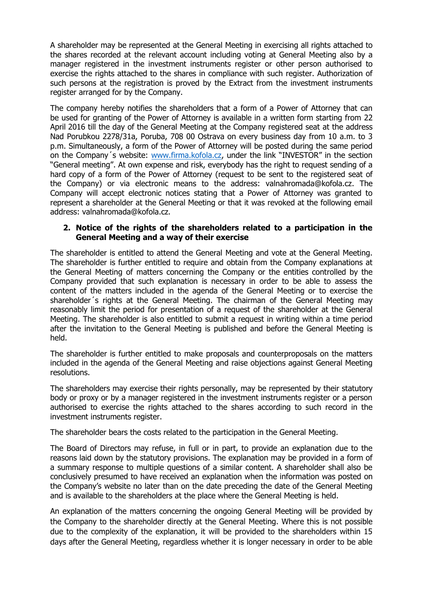A shareholder may be represented at the General Meeting in exercising all rights attached to the shares recorded at the relevant account including voting at General Meeting also by a manager registered in the investment instruments register or other person authorised to exercise the rights attached to the shares in compliance with such register. Authorization of such persons at the registration is proved by the Extract from the investment instruments register arranged for by the Company.

The company hereby notifies the shareholders that a form of a Power of Attorney that can be used for granting of the Power of Attorney is available in a written form starting from 22 April 2016 till the day of the General Meeting at the Company registered seat at the address Nad Porubkou 2278/31a, Poruba, 708 00 Ostrava on every business day from 10 a.m. to 3 p.m. Simultaneously, a form of the Power of Attorney will be posted during the same period on the Company´s website: [www.firma.kofola.cz,](http://www.firma.kofola.cz/) under the link "INVESTOR" in the section "General meeting". At own expense and risk, everybody has the right to request sending of a hard copy of a form of the Power of Attorney (request to be sent to the registered seat of the Company) or via electronic means to the address: valnahromada@kofola.cz. The Company will accept electronic notices stating that a Power of Attorney was granted to represent a shareholder at the General Meeting or that it was revoked at the following email address: valnahromada@kofola.cz.

### **2. Notice of the rights of the shareholders related to a participation in the General Meeting and a way of their exercise**

The shareholder is entitled to attend the General Meeting and vote at the General Meeting. The shareholder is further entitled to require and obtain from the Company explanations at the General Meeting of matters concerning the Company or the entities controlled by the Company provided that such explanation is necessary in order to be able to assess the content of the matters included in the agenda of the General Meeting or to exercise the shareholder´s rights at the General Meeting. The chairman of the General Meeting may reasonably limit the period for presentation of a request of the shareholder at the General Meeting. The shareholder is also entitled to submit a request in writing within a time period after the invitation to the General Meeting is published and before the General Meeting is held.

The shareholder is further entitled to make proposals and counterproposals on the matters included in the agenda of the General Meeting and raise objections against General Meeting resolutions.

The shareholders may exercise their rights personally, may be represented by their statutory body or proxy or by a manager registered in the investment instruments register or a person authorised to exercise the rights attached to the shares according to such record in the investment instruments register.

The shareholder bears the costs related to the participation in the General Meeting.

The Board of Directors may refuse, in full or in part, to provide an explanation due to the reasons laid down by the statutory provisions. The explanation may be provided in a form of a summary response to multiple questions of a similar content. A shareholder shall also be conclusively presumed to have received an explanation when the information was posted on the Company's website no later than on the date preceding the date of the General Meeting and is available to the shareholders at the place where the General Meeting is held.

An explanation of the matters concerning the ongoing General Meeting will be provided by the Company to the shareholder directly at the General Meeting. Where this is not possible due to the complexity of the explanation, it will be provided to the shareholders within 15 days after the General Meeting, regardless whether it is longer necessary in order to be able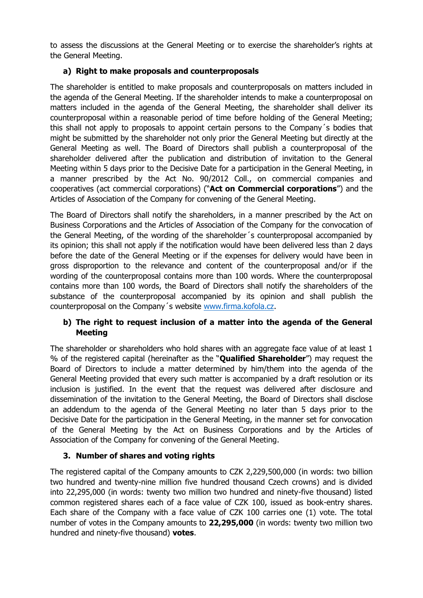to assess the discussions at the General Meeting or to exercise the shareholder's rights at the General Meeting.

# **a) Right to make proposals and counterproposals**

The shareholder is entitled to make proposals and counterproposals on matters included in the agenda of the General Meeting. If the shareholder intends to make a counterproposal on matters included in the agenda of the General Meeting, the shareholder shall deliver its counterproposal within a reasonable period of time before holding of the General Meeting; this shall not apply to proposals to appoint certain persons to the Company´s bodies that might be submitted by the shareholder not only prior the General Meeting but directly at the General Meeting as well. The Board of Directors shall publish a counterproposal of the shareholder delivered after the publication and distribution of invitation to the General Meeting within 5 days prior to the Decisive Date for a participation in the General Meeting, in a manner prescribed by the Act No. 90/2012 Coll., on commercial companies and cooperatives (act commercial corporations) ("**Act on Commercial corporations**") and the Articles of Association of the Company for convening of the General Meeting.

The Board of Directors shall notify the shareholders, in a manner prescribed by the Act on Business Corporations and the Articles of Association of the Company for the convocation of the General Meeting, of the wording of the shareholder´s counterproposal accompanied by its opinion; this shall not apply if the notification would have been delivered less than 2 days before the date of the General Meeting or if the expenses for delivery would have been in gross disproportion to the relevance and content of the counterproposal and/or if the wording of the counterproposal contains more than 100 words. Where the counterproposal contains more than 100 words, the Board of Directors shall notify the shareholders of the substance of the counterproposal accompanied by its opinion and shall publish the counterproposal on the Company´s website [www.firma.kofola.cz.](http://www.firma.kofola.cz/)

# **b) The right to request inclusion of a matter into the agenda of the General Meeting**

The shareholder or shareholders who hold shares with an aggregate face value of at least 1 % of the registered capital (hereinafter as the "**Qualified Shareholder**") may request the Board of Directors to include a matter determined by him/them into the agenda of the General Meeting provided that every such matter is accompanied by a draft resolution or its inclusion is justified. In the event that the request was delivered after disclosure and dissemination of the invitation to the General Meeting, the Board of Directors shall disclose an addendum to the agenda of the General Meeting no later than 5 days prior to the Decisive Date for the participation in the General Meeting, in the manner set for convocation of the General Meeting by the Act on Business Corporations and by the Articles of Association of the Company for convening of the General Meeting.

# **3. Number of shares and voting rights**

The registered capital of the Company amounts to CZK 2,229,500,000 (in words: two billion two hundred and twenty-nine million five hundred thousand Czech crowns) and is divided into 22,295,000 (in words: twenty two million two hundred and ninety-five thousand) listed common registered shares each of a face value of CZK 100, issued as book-entry shares. Each share of the Company with a face value of CZK 100 carries one (1) vote. The total number of votes in the Company amounts to **22,295,000** (in words: twenty two million two hundred and ninety-five thousand) **votes**.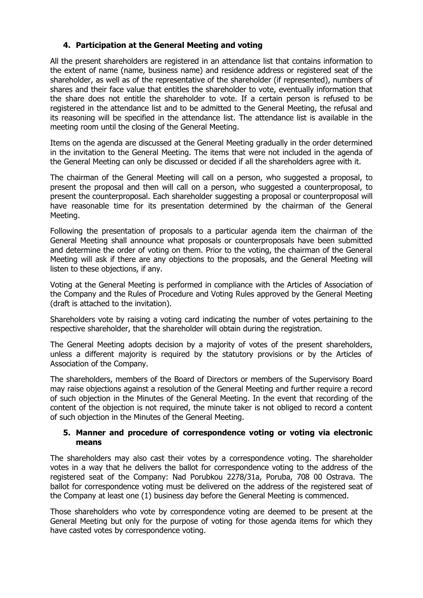## **4. Participation at the General Meeting and voting**

All the present shareholders are registered in an attendance list that contains information to the extent of name (name, business name) and residence address or registered seat of the shareholder, as well as of the representative of the shareholder (if represented), numbers of shares and their face value that entitles the shareholder to vote, eventually information that the share does not entitle the shareholder to vote. If a certain person is refused to be registered in the attendance list and to be admitted to the General Meeting, the refusal and its reasoning will be specified in the attendance list. The attendance list is available in the meeting room until the closing of the General Meeting.

Items on the agenda are discussed at the General Meeting gradually in the order determined in the invitation to the General Meeting. The items that were not included in the agenda of the General Meeting can only be discussed or decided if all the shareholders agree with it.

The chairman of the General Meeting will call on a person, who suggested a proposal, to present the proposal and then will call on a person, who suggested a counterproposal, to present the counterproposal. Each shareholder suggesting a proposal or counterproposal will have reasonable time for its presentation determined by the chairman of the General Meeting.

Following the presentation of proposals to a particular agenda item the chairman of the General Meeting shall announce what proposals or counterproposals have been submitted and determine the order of voting on them. Prior to the voting, the chairman of the General Meeting will ask if there are any objections to the proposals, and the General Meeting will listen to these objections, if any.

Voting at the General Meeting is performed in compliance with the Articles of Association of the Company and the Rules of Procedure and Voting Rules approved by the General Meeting (draft is attached to the invitation).

Shareholders vote by raising a voting card indicating the number of votes pertaining to the respective shareholder, that the shareholder will obtain during the registration.

The General Meeting adopts decision by a majority of votes of the present shareholders, unless a different majority is required by the statutory provisions or by the Articles of Association of the Company.

The shareholders, members of the Board of Directors or members of the Supervisory Board may raise objections against a resolution of the General Meeting and further require a record of such objection in the Minutes of the General Meeting. In the event that recording of the content of the objection is not required, the minute taker is not obliged to record a content of such objection in the Minutes of the General Meeting.

### **5. Manner and procedure of correspondence voting or voting via electronic means**

The shareholders may also cast their votes by a correspondence voting. The shareholder votes in a way that he delivers the ballot for correspondence voting to the address of the registered seat of the Company: Nad Porubkou 2278/31a, Poruba, 708 00 Ostrava. The ballot for correspondence voting must be delivered on the address of the registered seat of the Company at least one (1) business day before the General Meeting is commenced.

Those shareholders who vote by correspondence voting are deemed to be present at the General Meeting but only for the purpose of voting for those agenda items for which they have casted votes by correspondence voting.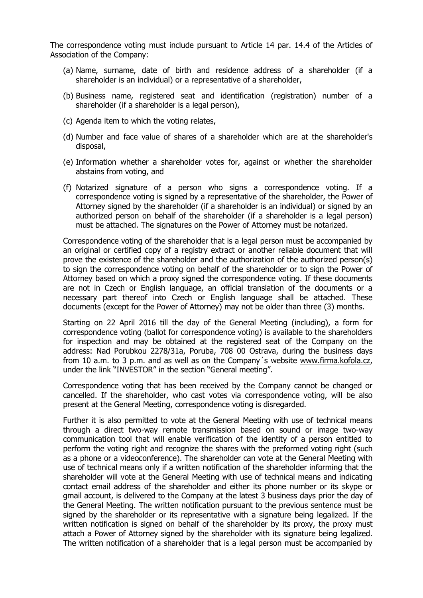The correspondence voting must include pursuant to Article 14 par. 14.4 of the Articles of Association of the Company:

- (a) Name, surname, date of birth and residence address of a shareholder (if a shareholder is an individual) or a representative of a shareholder,
- (b) Business name, registered seat and identification (registration) number of a shareholder (if a shareholder is a legal person),
- (c) Agenda item to which the voting relates,
- (d) Number and face value of shares of a shareholder which are at the shareholder's disposal,
- (e) Information whether a shareholder votes for, against or whether the shareholder abstains from voting, and
- (f) Notarized signature of a person who signs a correspondence voting. If a correspondence voting is signed by a representative of the shareholder, the Power of Attorney signed by the shareholder (if a shareholder is an individual) or signed by an authorized person on behalf of the shareholder (if a shareholder is a legal person) must be attached. The signatures on the Power of Attorney must be notarized.

Correspondence voting of the shareholder that is a legal person must be accompanied by an original or certified copy of a registry extract or another reliable document that will prove the existence of the shareholder and the authorization of the authorized person(s) to sign the correspondence voting on behalf of the shareholder or to sign the Power of Attorney based on which a proxy signed the correspondence voting. If these documents are not in Czech or English language, an official translation of the documents or a necessary part thereof into Czech or English language shall be attached. These documents (except for the Power of Attorney) may not be older than three (3) months.

Starting on 22 April 2016 till the day of the General Meeting (including), a form for correspondence voting (ballot for correspondence voting) is available to the shareholders for inspection and may be obtained at the registered seat of the Company on the address: Nad Porubkou 2278/31a, Poruba, 708 00 Ostrava, during the business days from 10 a.m. to 3 p.m. and as well as on the Company´s website [www.firma.kofola.cz,](http://www.firma.kofola.cz/) under the link "INVESTOR" in the section "General meeting".

Correspondence voting that has been received by the Company cannot be changed or cancelled. If the shareholder, who cast votes via correspondence voting, will be also present at the General Meeting, correspondence voting is disregarded.

Further it is also permitted to vote at the General Meeting with use of technical means through a direct two-way remote transmission based on sound or image two-way communication tool that will enable verification of the identity of a person entitled to perform the voting right and recognize the shares with the preformed voting right (such as a phone or a videoconference). The shareholder can vote at the General Meeting with use of technical means only if a written notification of the shareholder informing that the shareholder will vote at the General Meeting with use of technical means and indicating contact email address of the shareholder and either its phone number or its skype or gmail account, is delivered to the Company at the latest 3 business days prior the day of the General Meeting. The written notification pursuant to the previous sentence must be signed by the shareholder or its representative with a signature being legalized. If the written notification is signed on behalf of the shareholder by its proxy, the proxy must attach a Power of Attorney signed by the shareholder with its signature being legalized. The written notification of a shareholder that is a legal person must be accompanied by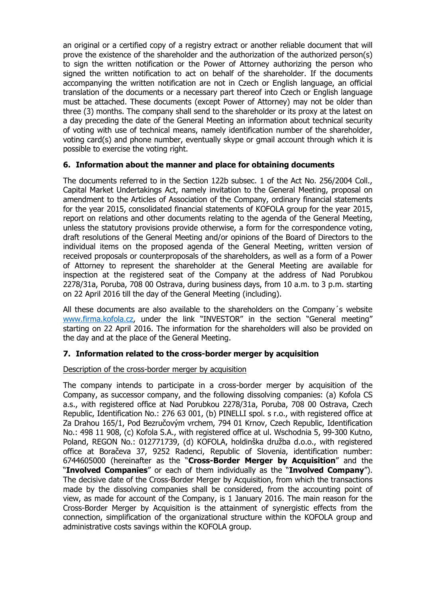an original or a certified copy of a registry extract or another reliable document that will prove the existence of the shareholder and the authorization of the authorized person(s) to sign the written notification or the Power of Attorney authorizing the person who signed the written notification to act on behalf of the shareholder. If the documents accompanying the written notification are not in Czech or English language, an official translation of the documents or a necessary part thereof into Czech or English language must be attached. These documents (except Power of Attorney) may not be older than three (3) months. The company shall send to the shareholder or its proxy at the latest on a day preceding the date of the General Meeting an information about technical security of voting with use of technical means, namely identification number of the shareholder, voting card(s) and phone number, eventually skype or gmail account through which it is possible to exercise the voting right.

### **6. Information about the manner and place for obtaining documents**

The documents referred to in the Section 122b subsec. 1 of the Act No. 256/2004 Coll., Capital Market Undertakings Act, namely invitation to the General Meeting, proposal on amendment to the Articles of Association of the Company, ordinary financial statements for the year 2015, consolidated financial statements of KOFOLA group for the year 2015, report on relations and other documents relating to the agenda of the General Meeting, unless the statutory provisions provide otherwise, a form for the correspondence voting, draft resolutions of the General Meeting and/or opinions of the Board of Directors to the individual items on the proposed agenda of the General Meeting, written version of received proposals or counterproposals of the shareholders, as well as a form of a Power of Attorney to represent the shareholder at the General Meeting are available for inspection at the registered seat of the Company at the address of Nad Porubkou 2278/31a, Poruba, 708 00 Ostrava, during business days, from 10 a.m. to 3 p.m. starting on 22 April 2016 till the day of the General Meeting (including).

All these documents are also available to the shareholders on the Company´s website [www.firma.kofola.cz,](http://www.firma.kofola.cz/) under the link "INVESTOR" in the section "General meeting" starting on 22 April 2016. The information for the shareholders will also be provided on the day and at the place of the General Meeting.

## **7. Information related to the cross-border merger by acquisition**

#### Description of the cross-border merger by acquisition

The company intends to participate in a cross-border merger by acquisition of the Company, as successor company, and the following dissolving companies: (a) Kofola CS a.s., with registered office at Nad Porubkou 2278/31a, Poruba, 708 00 Ostrava, Czech Republic, Identification No.: 276 63 001, (b) PINELLI spol. s r.o., with registered office at Za Drahou 165/1, Pod Bezručovým vrchem, 794 01 Krnov, Czech Republic, Identification No.: 498 11 908, (c) Kofola S.A., with registered office at ul. Wschodnia 5, 99-300 Kutno, Poland, REGON No.: 012771739, (d) KOFOLA, holdinška družba d.o.o., with registered office at Boračeva 37, 9252 Radenci, Republic of Slovenia, identification number: 6744605000 (hereinafter as the "**Cross-Border Merger by Acquisition**" and the "**Involved Companies**" or each of them individually as the "**Involved Company**"). The decisive date of the Cross-Border Merger by Acquisition, from which the transactions made by the dissolving companies shall be considered, from the accounting point of view, as made for account of the Company, is 1 January 2016. The main reason for the Cross-Border Merger by Acquisition is the attainment of synergistic effects from the connection, simplification of the organizational structure within the KOFOLA group and administrative costs savings within the KOFOLA group.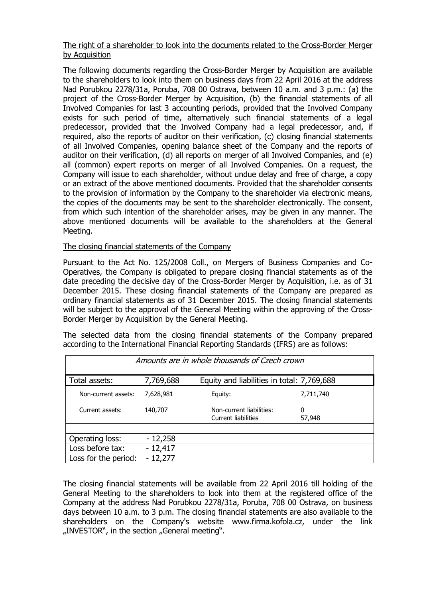### The right of a shareholder to look into the documents related to the Cross-Border Merger by Acquisition

The following documents regarding the Cross-Border Merger by Acquisition are available to the shareholders to look into them on business days from 22 April 2016 at the address Nad Porubkou 2278/31a, Poruba, 708 00 Ostrava, between 10 a.m. and 3 p.m.: (a) the project of the Cross-Border Merger by Acquisition, (b) the financial statements of all Involved Companies for last 3 accounting periods, provided that the Involved Company exists for such period of time, alternatively such financial statements of a legal predecessor, provided that the Involved Company had a legal predecessor, and, if required, also the reports of auditor on their verification, (c) closing financial statements of all Involved Companies, opening balance sheet of the Company and the reports of auditor on their verification, (d) all reports on merger of all Involved Companies, and (e) all (common) expert reports on merger of all Involved Companies. On a request, the Company will issue to each shareholder, without undue delay and free of charge, a copy or an extract of the above mentioned documents. Provided that the shareholder consents to the provision of information by the Company to the shareholder via electronic means, the copies of the documents may be sent to the shareholder electronically. The consent, from which such intention of the shareholder arises, may be given in any manner. The above mentioned documents will be available to the shareholders at the General Meeting.

## The closing financial statements of the Company

Pursuant to the Act No. 125/2008 Coll., on Mergers of Business Companies and Co-Operatives, the Company is obligated to prepare closing financial statements as of the date preceding the decisive day of the Cross-Border Merger by Acquisition, i.e. as of 31 December 2015. These closing financial statements of the Company are prepared as ordinary financial statements as of 31 December 2015. The closing financial statements will be subject to the approval of the General Meeting within the approving of the Cross-Border Merger by Acquisition by the General Meeting.

The selected data from the closing financial statements of the Company prepared according to the International Financial Reporting Standards (IFRS) are as follows:

| Amounts are in whole thousands of Czech crown |           |                                            |           |
|-----------------------------------------------|-----------|--------------------------------------------|-----------|
| Total assets:                                 | 7,769,688 | Equity and liabilities in total: 7,769,688 |           |
| Non-current assets:                           | 7,628,981 | Equity:                                    | 7,711,740 |
| Current assets:                               | 140,707   | Non-current liabilities:                   | 0         |
|                                               |           | <b>Current liabilities</b>                 | 57,948    |
|                                               |           |                                            |           |
| Operating loss:                               | $-12,258$ |                                            |           |
| Loss before tax:                              | $-12,417$ |                                            |           |
| Loss for the period:                          | $-12,277$ |                                            |           |

The closing financial statements will be available from 22 April 2016 till holding of the General Meeting to the shareholders to look into them at the registered office of the Company at the address Nad Porubkou 2278/31a, Poruba, 708 00 Ostrava, on business days between 10 a.m. to 3 p.m. The closing financial statements are also available to the shareholders on the Company's website www.firma.kofola.cz, under the link "INVESTOR", in the section "General meeting".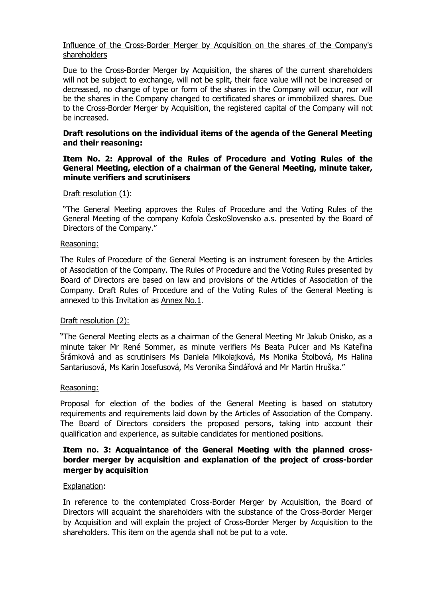### Influence of the Cross-Border Merger by Acquisition on the shares of the Company's shareholders

Due to the Cross-Border Merger by Acquisition, the shares of the current shareholders will not be subject to exchange, will not be split, their face value will not be increased or decreased, no change of type or form of the shares in the Company will occur, nor will be the shares in the Company changed to certificated shares or immobilized shares. Due to the Cross-Border Merger by Acquisition, the registered capital of the Company will not be increased.

#### **Draft resolutions on the individual items of the agenda of the General Meeting and their reasoning:**

#### **Item No. 2: Approval of the Rules of Procedure and Voting Rules of the General Meeting, election of a chairman of the General Meeting, minute taker, minute verifiers and scrutinisers**

#### Draft resolution (1):

"The General Meeting approves the Rules of Procedure and the Voting Rules of the General Meeting of the company Kofola ČeskoSlovensko a.s. presented by the Board of Directors of the Company."

#### Reasoning:

The Rules of Procedure of the General Meeting is an instrument foreseen by the Articles of Association of the Company. The Rules of Procedure and the Voting Rules presented by Board of Directors are based on law and provisions of the Articles of Association of the Company. Draft Rules of Procedure and of the Voting Rules of the General Meeting is annexed to this Invitation as Annex No.1.

#### Draft resolution (2):

"The General Meeting elects as a chairman of the General Meeting Mr Jakub Onisko, as a minute taker Mr René Sommer, as minute verifiers Ms Beata Pulcer and Ms Kateřina Šrámková and as scrutinisers Ms Daniela Mikolajková, Ms Monika Štolbová, Ms Halina Santariusová, Ms Karin Josefusová, Ms Veronika Šindářová and Mr Martin Hruška."

#### Reasoning:

Proposal for election of the bodies of the General Meeting is based on statutory requirements and requirements laid down by the Articles of Association of the Company. The Board of Directors considers the proposed persons, taking into account their qualification and experience, as suitable candidates for mentioned positions.

### **Item no. 3: Acquaintance of the General Meeting with the planned crossborder merger by acquisition and explanation of the project of cross-border merger by acquisition**

#### Explanation:

In reference to the contemplated Cross-Border Merger by Acquisition, the Board of Directors will acquaint the shareholders with the substance of the Cross-Border Merger by Acquisition and will explain the project of Cross-Border Merger by Acquisition to the shareholders. This item on the agenda shall not be put to a vote.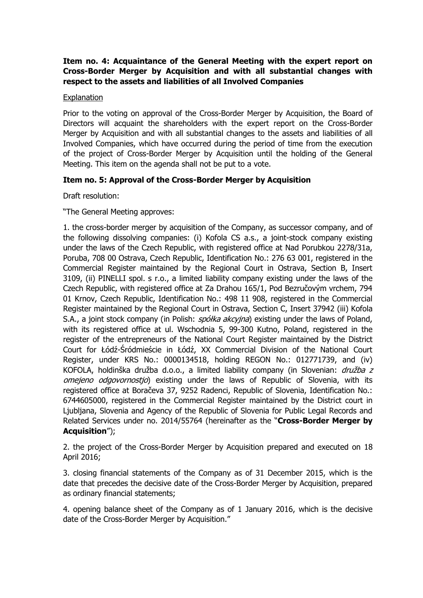## **Item no. 4: Acquaintance of the General Meeting with the expert report on Cross-Border Merger by Acquisition and with all substantial changes with respect to the assets and liabilities of all Involved Companies**

#### **Explanation**

Prior to the voting on approval of the Cross-Border Merger by Acquisition, the Board of Directors will acquaint the shareholders with the expert report on the Cross-Border Merger by Acquisition and with all substantial changes to the assets and liabilities of all Involved Companies, which have occurred during the period of time from the execution of the project of Cross-Border Merger by Acquisition until the holding of the General Meeting. This item on the agenda shall not be put to a vote.

## **Item no. 5: Approval of the Cross-Border Merger by Acquisition**

Draft resolution:

"The General Meeting approves:

1. the cross-border merger by acquisition of the Company, as successor company, and of the following dissolving companies: (i) Kofola CS a.s., a joint-stock company existing under the laws of the Czech Republic, with registered office at Nad Porubkou 2278/31a, Poruba, 708 00 Ostrava, Czech Republic, Identification No.: 276 63 001, registered in the Commercial Register maintained by the Regional Court in Ostrava, Section B, Insert 3109, (ii) PINELLI spol. s r.o., a limited liability company existing under the laws of the Czech Republic, with registered office at Za Drahou 165/1, Pod Bezručovým vrchem, 794 01 Krnov, Czech Republic, Identification No.: 498 11 908, registered in the Commercial Register maintained by the Regional Court in Ostrava, Section C, Insert 37942 (iii) Kofola S.A., a joint stock company (in Polish:  $spółka akcyina$ ) existing under the laws of Poland, with its registered office at ul. Wschodnia 5, 99-300 Kutno, Poland, registered in the register of the entrepreneurs of the National Court Register maintained by the District Court for Łódź-Śródmieście in Łódź, XX Commercial Division of the National Court Register, under KRS No.: 0000134518, holding REGON No.: 012771739, and (iv) KOFOLA, holdinška družba d.o.o., a limited liability company (in Slovenian: družba z omejeno odgovornostio) existing under the laws of Republic of Slovenia, with its registered office at Boračeva 37, 9252 Radenci, Republic of Slovenia, Identification No.: 6744605000, registered in the Commercial Register maintained by the District court in Ljubljana, Slovenia and Agency of the Republic of Slovenia for Public Legal Records and Related Services under no. 2014/55764 (hereinafter as the "**Cross-Border Merger by Acquisition**");

2. the project of the Cross-Border Merger by Acquisition prepared and executed on 18 April 2016;

3. closing financial statements of the Company as of 31 December 2015, which is the date that precedes the decisive date of the Cross-Border Merger by Acquisition, prepared as ordinary financial statements;

4. opening balance sheet of the Company as of 1 January 2016, which is the decisive date of the Cross-Border Merger by Acquisition."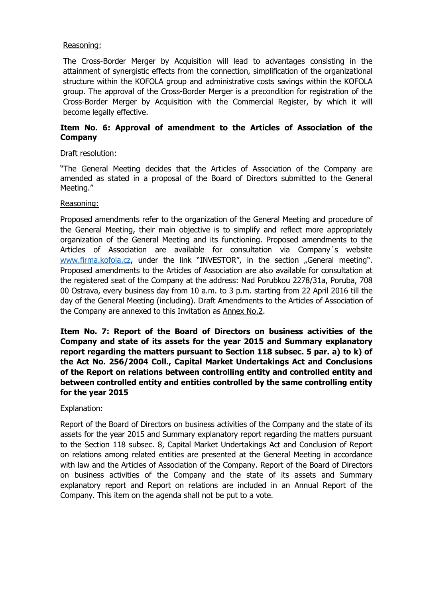#### Reasoning:

The Cross-Border Merger by Acquisition will lead to advantages consisting in the attainment of synergistic effects from the connection, simplification of the organizational structure within the KOFOLA group and administrative costs savings within the KOFOLA group. The approval of the Cross-Border Merger is a precondition for registration of the Cross-Border Merger by Acquisition with the Commercial Register, by which it will become legally effective.

## **Item No. 6: Approval of amendment to the Articles of Association of the Company**

### Draft resolution:

"The General Meeting decides that the Articles of Association of the Company are amended as stated in a proposal of the Board of Directors submitted to the General Meeting."

### Reasoning:

Proposed amendments refer to the organization of the General Meeting and procedure of the General Meeting, their main objective is to simplify and reflect more appropriately organization of the General Meeting and its functioning. Proposed amendments to the Articles of Association are available for consultation via Company´s website [www.firma.kofola.cz](http://www.firma.kofola.cz/), under the link "INVESTOR", in the section "General meeting". Proposed amendments to the Articles of Association are also available for consultation at the registered seat of the Company at the address: Nad Porubkou 2278/31a, Poruba, 708 00 Ostrava, every business day from 10 a.m. to 3 p.m. starting from 22 April 2016 till the day of the General Meeting (including). Draft Amendments to the Articles of Association of the Company are annexed to this Invitation as Annex No.2.

**Item No. 7: Report of the Board of Directors on business activities of the Company and state of its assets for the year 2015 and Summary explanatory report regarding the matters pursuant to Section 118 subsec. 5 par. a) to k) of the Act No. 256/2004 Coll., Capital Market Undertakings Act and Conclusions of the Report on relations between controlling entity and controlled entity and between controlled entity and entities controlled by the same controlling entity for the year 2015**

## Explanation:

Report of the Board of Directors on business activities of the Company and the state of its assets for the year 2015 and Summary explanatory report regarding the matters pursuant to the Section 118 subsec. 8, Capital Market Undertakings Act and Conclusion of Report on relations among related entities are presented at the General Meeting in accordance with law and the Articles of Association of the Company. Report of the Board of Directors on business activities of the Company and the state of its assets and Summary explanatory report and Report on relations are included in an Annual Report of the Company. This item on the agenda shall not be put to a vote.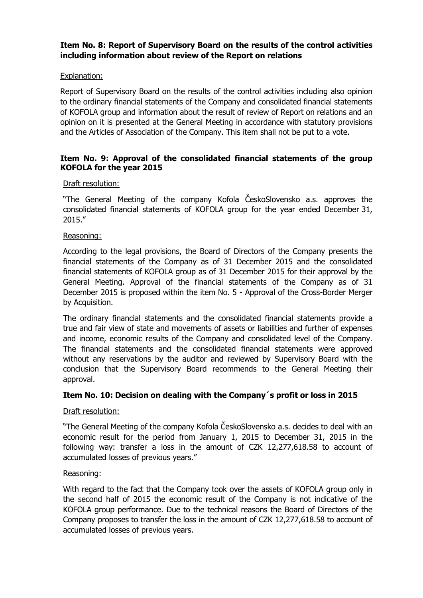## **Item No. 8: Report of Supervisory Board on the results of the control activities including information about review of the Report on relations**

## Explanation:

Report of Supervisory Board on the results of the control activities including also opinion to the ordinary financial statements of the Company and consolidated financial statements of KOFOLA group and information about the result of review of Report on relations and an opinion on it is presented at the General Meeting in accordance with statutory provisions and the Articles of Association of the Company. This item shall not be put to a vote.

### **Item No. 9: Approval of the consolidated financial statements of the group KOFOLA for the year 2015**

#### Draft resolution:

"The General Meeting of the company Kofola ČeskoSlovensko a.s. approves the consolidated financial statements of KOFOLA group for the year ended December 31, 2015."

#### Reasoning:

According to the legal provisions, the Board of Directors of the Company presents the financial statements of the Company as of 31 December 2015 and the consolidated financial statements of KOFOLA group as of 31 December 2015 for their approval by the General Meeting. Approval of the financial statements of the Company as of 31 December 2015 is proposed within the item No. 5 - Approval of the Cross-Border Merger by Acquisition.

The ordinary financial statements and the consolidated financial statements provide a true and fair view of state and movements of assets or liabilities and further of expenses and income, economic results of the Company and consolidated level of the Company. The financial statements and the consolidated financial statements were approved without any reservations by the auditor and reviewed by Supervisory Board with the conclusion that the Supervisory Board recommends to the General Meeting their approval.

## **Item No. 10: Decision on dealing with the Company´s profit or loss in 2015**

#### Draft resolution:

"The General Meeting of the company Kofola ČeskoSlovensko a.s. decides to deal with an economic result for the period from January 1, 2015 to December 31, 2015 in the following way: transfer a loss in the amount of CZK 12,277,618.58 to account of accumulated losses of previous years."

#### Reasoning:

With regard to the fact that the Company took over the assets of KOFOLA group only in the second half of 2015 the economic result of the Company is not indicative of the KOFOLA group performance. Due to the technical reasons the Board of Directors of the Company proposes to transfer the loss in the amount of CZK 12,277,618.58 to account of accumulated losses of previous years.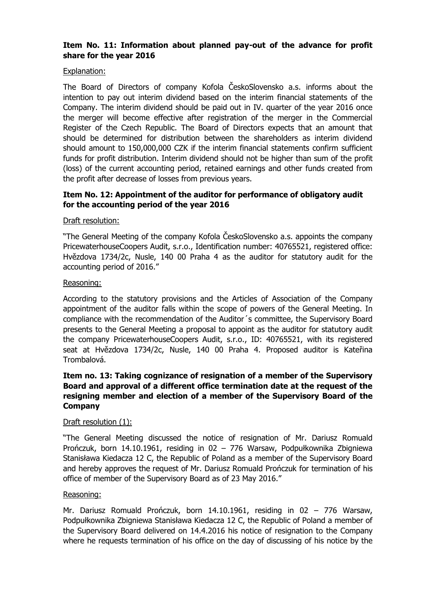## **Item No. 11: Information about planned pay-out of the advance for profit share for the year 2016**

### Explanation:

The Board of Directors of company Kofola ČeskoSlovensko a.s. informs about the intention to pay out interim dividend based on the interim financial statements of the Company. The interim dividend should be paid out in IV. quarter of the year 2016 once the merger will become effective after registration of the merger in the Commercial Register of the Czech Republic. The Board of Directors expects that an amount that should be determined for distribution between the shareholders as interim dividend should amount to 150,000,000 CZK if the interim financial statements confirm sufficient funds for profit distribution. Interim dividend should not be higher than sum of the profit (loss) of the current accounting period, retained earnings and other funds created from the profit after decrease of losses from previous years.

# **Item No. 12: Appointment of the auditor for performance of obligatory audit for the accounting period of the year 2016**

### Draft resolution:

"The General Meeting of the company Kofola ČeskoSlovensko a.s. appoints the company PricewaterhouseCoopers Audit, s.r.o., Identification number: 40765521, registered office: Hvězdova 1734/2c, Nusle, 140 00 Praha 4 as the auditor for statutory audit for the accounting period of 2016."

#### Reasoning:

According to the statutory provisions and the Articles of Association of the Company appointment of the auditor falls within the scope of powers of the General Meeting. In compliance with the recommendation of the Auditor´s committee, the Supervisory Board presents to the General Meeting a proposal to appoint as the auditor for statutory audit the company PricewaterhouseCoopers Audit, s.r.o., ID: 40765521, with its registered seat at Hvězdova 1734/2c, Nusle, 140 00 Praha 4. Proposed auditor is Kateřina Trombalová.

## **Item no. 13: Taking cognizance of resignation of a member of the Supervisory Board and approval of a different office termination date at the request of the resigning member and election of a member of the Supervisory Board of the Company**

#### Draft resolution (1):

"The General Meeting discussed the notice of resignation of Mr. Dariusz Romuald Prończuk, born 14.10.1961, residing in 02 – 776 Warsaw, Podpułkownika Zbigniewa Stanisława Kiedacza 12 C, the Republic of Poland as a member of the Supervisory Board and hereby approves the request of Mr. Dariusz Romuald Prończuk for termination of his office of member of the Supervisory Board as of 23 May 2016."

#### Reasoning:

Mr. Dariusz Romuald Prończuk, born 14.10.1961, residing in 02 – 776 Warsaw, Podpułkownika Zbigniewa Stanisława Kiedacza 12 C, the Republic of Poland a member of the Supervisory Board delivered on 14.4.2016 his notice of resignation to the Company where he requests termination of his office on the day of discussing of his notice by the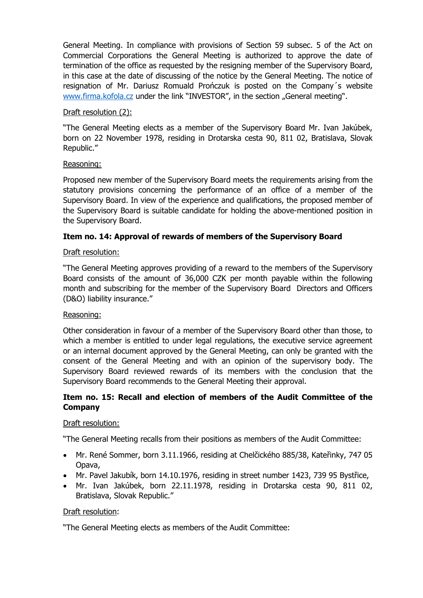General Meeting. In compliance with provisions of Section 59 subsec. 5 of the Act on Commercial Corporations the General Meeting is authorized to approve the date of termination of the office as requested by the resigning member of the Supervisory Board, in this case at the date of discussing of the notice by the General Meeting. The notice of resignation of Mr. Dariusz Romuald Prończuk is posted on the Company´s website [www.firma.kofola.cz](http://www.firma.kofola.cz/) under the link "INVESTOR", in the section "General meeting".

### Draft resolution (2):

"The General Meeting elects as a member of the Supervisory Board Mr. Ivan Jakúbek, born on 22 November 1978, residing in Drotarska cesta 90, 811 02, Bratislava, Slovak Republic."

### Reasoning:

Proposed new member of the Supervisory Board meets the requirements arising from the statutory provisions concerning the performance of an office of a member of the Supervisory Board. In view of the experience and qualifications, the proposed member of the Supervisory Board is suitable candidate for holding the above-mentioned position in the Supervisory Board.

## **Item no. 14: Approval of rewards of members of the Supervisory Board**

### Draft resolution:

"The General Meeting approves providing of a reward to the members of the Supervisory Board consists of the amount of 36,000 CZK per month payable within the following month and subscribing for the member of the Supervisory Board Directors and Officers (D&O) liability insurance."

#### Reasoning:

Other consideration in favour of a member of the Supervisory Board other than those, to which a member is entitled to under legal regulations, the executive service agreement or an internal document approved by the General Meeting, can only be granted with the consent of the General Meeting and with an opinion of the supervisory body. The Supervisory Board reviewed rewards of its members with the conclusion that the Supervisory Board recommends to the General Meeting their approval.

## **Item no. 15: Recall and election of members of the Audit Committee of the Company**

#### Draft resolution:

"The General Meeting recalls from their positions as members of the Audit Committee:

- Mr. René Sommer, born 3.11.1966, residing at Chelčického 885/38, Kateřinky, 747 05 Opava,
- Mr. Pavel Jakubík, born 14.10.1976, residing in street number 1423, 739 95 Bystřice,
- Mr. Ivan Jakúbek, born 22.11.1978, residing in Drotarska cesta 90, 811 02, Bratislava, Slovak Republic."

#### Draft resolution:

"The General Meeting elects as members of the Audit Committee: